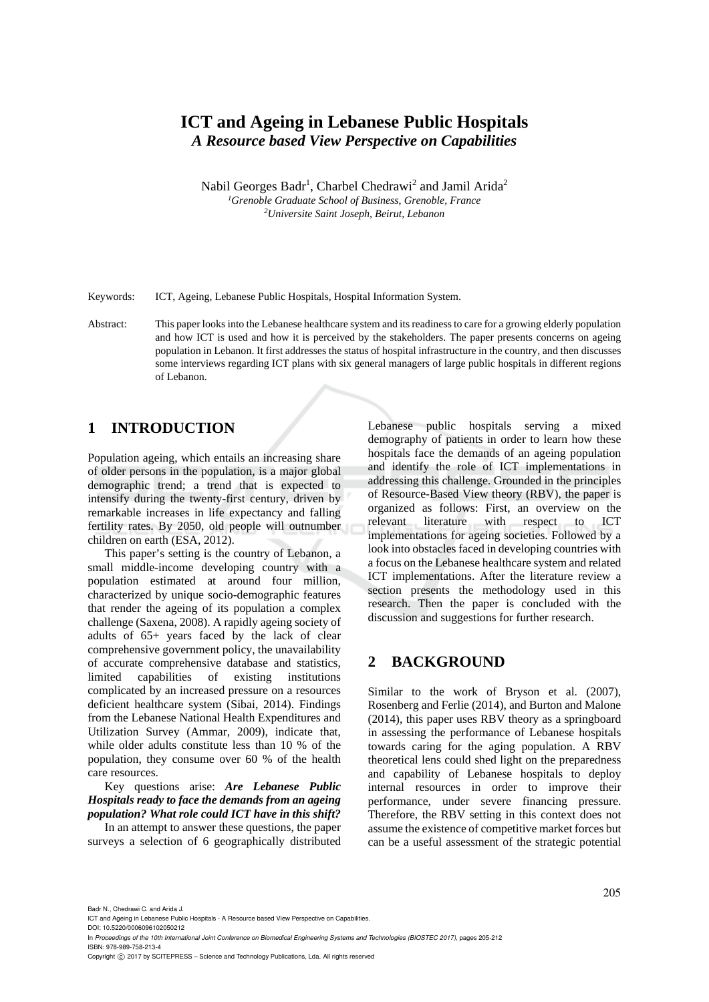# **ICT and Ageing in Lebanese Public Hospitals**  *A Resource based View Perspective on Capabilities*

Nabil Georges Badr<sup>1</sup>, Charbel Chedrawi<sup>2</sup> and Jamil Arida<sup>2</sup> <sup>1</sup>Grenoble Graduate School of Business, Grenoble, France *Universite Saint Joseph, Beirut, Lebanon* 

Keywords: ICT, Ageing, Lebanese Public Hospitals, Hospital Information System.

Abstract: This paper looks into the Lebanese healthcare system and its readiness to care for a growing elderly population and how ICT is used and how it is perceived by the stakeholders. The paper presents concerns on ageing population in Lebanon. It first addresses the status of hospital infrastructure in the country, and then discusses some interviews regarding ICT plans with six general managers of large public hospitals in different regions of Lebanon.

## **1 INTRODUCTION**

Population ageing, which entails an increasing share of older persons in the population, is a major global demographic trend; a trend that is expected to intensify during the twenty-first century, driven by remarkable increases in life expectancy and falling fertility rates. By 2050, old people will outnumber children on earth (ESA, 2012).

This paper's setting is the country of Lebanon, a small middle-income developing country with a population estimated at around four million, characterized by unique socio-demographic features that render the ageing of its population a complex challenge (Saxena, 2008). A rapidly ageing society of adults of 65+ years faced by the lack of clear comprehensive government policy, the unavailability of accurate comprehensive database and statistics, limited capabilities of existing institutions complicated by an increased pressure on a resources deficient healthcare system (Sibai, 2014). Findings from the Lebanese National Health Expenditures and Utilization Survey (Ammar, 2009), indicate that, while older adults constitute less than 10 % of the population, they consume over 60 % of the health care resources.

Key questions arise: *Are Lebanese Public Hospitals ready to face the demands from an ageing population? What role could ICT have in this shift?* 

In an attempt to answer these questions, the paper surveys a selection of 6 geographically distributed Lebanese public hospitals serving a mixed demography of patients in order to learn how these hospitals face the demands of an ageing population and identify the role of ICT implementations in addressing this challenge. Grounded in the principles of Resource-Based View theory (RBV), the paper is organized as follows: First, an overview on the relevant literature with respect to ICT implementations for ageing societies. Followed by a look into obstacles faced in developing countries with a focus on the Lebanese healthcare system and related ICT implementations. After the literature review a section presents the methodology used in this research. Then the paper is concluded with the discussion and suggestions for further research.

### **2 BACKGROUND**

Similar to the work of Bryson et al. (2007), Rosenberg and Ferlie (2014), and Burton and Malone (2014), this paper uses RBV theory as a springboard in assessing the performance of Lebanese hospitals towards caring for the aging population. A RBV theoretical lens could shed light on the preparedness and capability of Lebanese hospitals to deploy internal resources in order to improve their performance, under severe financing pressure. Therefore, the RBV setting in this context does not assume the existence of competitive market forces but can be a useful assessment of the strategic potential

Badr N., Chedrawi C. and Arida J.

DOI: 10.5220/0006096102050212 In *Proceedings of the 10th International Joint Conference on Biomedical Engineering Systems and Technologies (BIOSTEC 2017)*, pages 205-212

ISBN: 978-989-758-213-4

Copyright © 2017 by SCITEPRESS - Science and Technology Publications, Lda. All rights reserved

ICT and Ageing in Lebanese Public Hospitals - A Resource based View Perspective on Capabilities.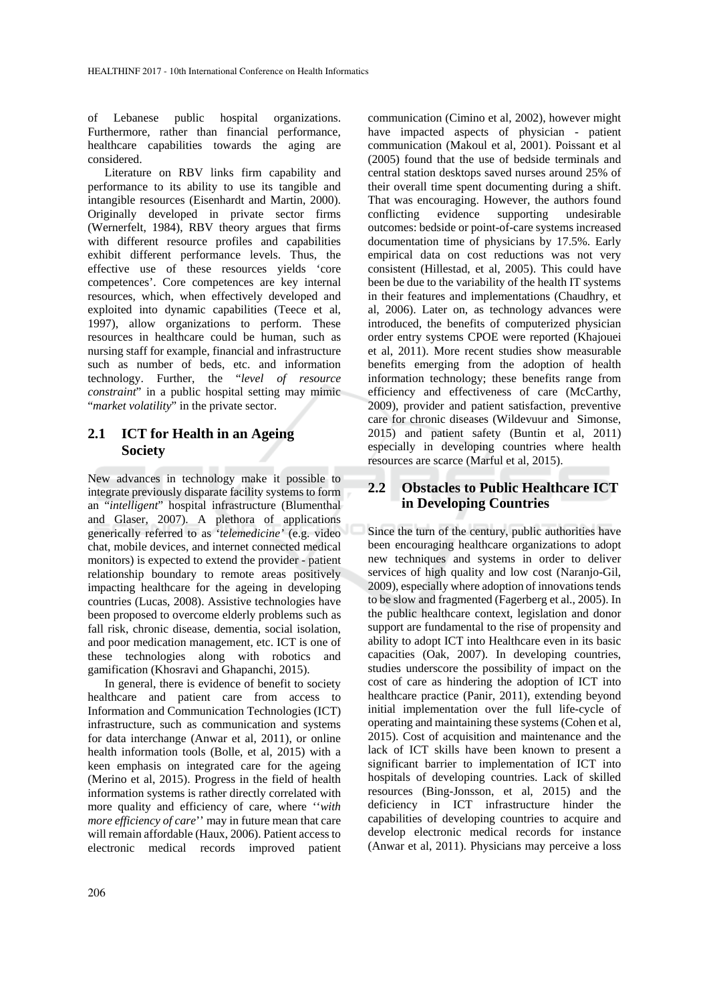of Lebanese public hospital organizations. Furthermore, rather than financial performance, healthcare capabilities towards the aging are considered.

Literature on RBV links firm capability and performance to its ability to use its tangible and intangible resources (Eisenhardt and Martin, 2000). Originally developed in private sector firms (Wernerfelt, 1984), RBV theory argues that firms with different resource profiles and capabilities exhibit different performance levels. Thus, the effective use of these resources yields 'core competences'. Core competences are key internal resources, which, when effectively developed and exploited into dynamic capabilities (Teece et al, 1997), allow organizations to perform. These resources in healthcare could be human, such as nursing staff for example, financial and infrastructure such as number of beds, etc. and information technology. Further, the "*level of resource constraint*" in a public hospital setting may mimic "*market volatility*" in the private sector.

### **2.1 ICT for Health in an Ageing Society**

New advances in technology make it possible to integrate previously disparate facility systems to form an "*intelligent*" hospital infrastructure (Blumenthal and Glaser, 2007). A plethora of applications generically referred to as '*telemedicine'* (e.g. video chat, mobile devices, and internet connected medical monitors) is expected to extend the provider - patient relationship boundary to remote areas positively impacting healthcare for the ageing in developing countries (Lucas, 2008). Assistive technologies have been proposed to overcome elderly problems such as fall risk, chronic disease, dementia, social isolation, and poor medication management, etc. ICT is one of these technologies along with robotics and gamification (Khosravi and Ghapanchi, 2015).

In general, there is evidence of benefit to society healthcare and patient care from access to Information and Communication Technologies (ICT) infrastructure, such as communication and systems for data interchange (Anwar et al, 2011), or online health information tools (Bolle, et al, 2015) with a keen emphasis on integrated care for the ageing (Merino et al, 2015). Progress in the field of health information systems is rather directly correlated with more quality and efficiency of care, where ''*with more efficiency of care*'' may in future mean that care will remain affordable (Haux, 2006). Patient access to electronic medical records improved patient communication (Cimino et al, 2002), however might have impacted aspects of physician - patient communication (Makoul et al, 2001). Poissant et al (2005) found that the use of bedside terminals and central station desktops saved nurses around 25% of their overall time spent documenting during a shift. That was encouraging. However, the authors found conflicting evidence supporting undesirable outcomes: bedside or point-of-care systems increased documentation time of physicians by 17.5%. Early empirical data on cost reductions was not very consistent (Hillestad, et al, 2005). This could have been be due to the variability of the health IT systems in their features and implementations (Chaudhry, et al, 2006). Later on, as technology advances were introduced, the benefits of computerized physician order entry systems CPOE were reported (Khajouei et al, 2011). More recent studies show measurable benefits emerging from the adoption of health information technology; these benefits range from efficiency and effectiveness of care (McCarthy, 2009), provider and patient satisfaction, preventive care for chronic diseases (Wildevuur and Simonse, 2015) and patient safety (Buntin et al, 2011) especially in developing countries where health resources are scarce (Marful et al, 2015).

### **2.2 Obstacles to Public Healthcare ICT in Developing Countries**

Since the turn of the century, public authorities have been encouraging healthcare organizations to adopt new techniques and systems in order to deliver services of high quality and low cost (Naranjo-Gil, 2009), especially where adoption of innovations tends to be slow and fragmented (Fagerberg et al., 2005). In the public healthcare context, legislation and donor support are fundamental to the rise of propensity and ability to adopt ICT into Healthcare even in its basic capacities (Oak, 2007). In developing countries, studies underscore the possibility of impact on the cost of care as hindering the adoption of ICT into healthcare practice (Panir, 2011), extending beyond initial implementation over the full life-cycle of operating and maintaining these systems (Cohen et al, 2015). Cost of acquisition and maintenance and the lack of ICT skills have been known to present a significant barrier to implementation of ICT into hospitals of developing countries. Lack of skilled resources (Bing-Jonsson, et al, 2015) and the deficiency in ICT infrastructure hinder the capabilities of developing countries to acquire and develop electronic medical records for instance (Anwar et al, 2011). Physicians may perceive a loss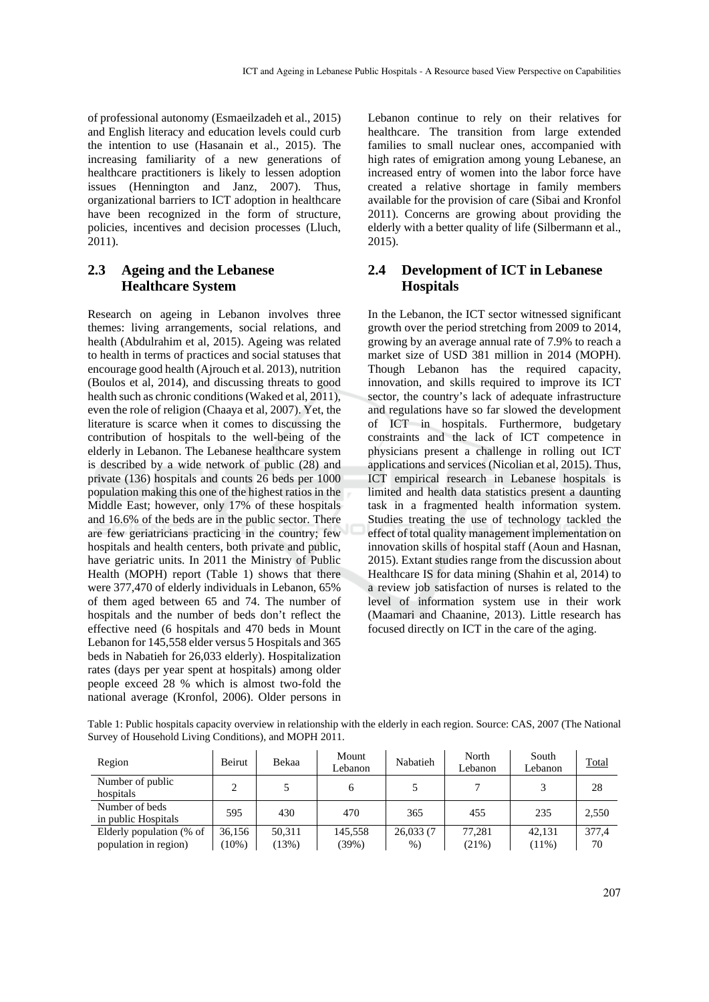of professional autonomy (Esmaeilzadeh et al., 2015) and English literacy and education levels could curb the intention to use (Hasanain et al., 2015). The increasing familiarity of a new generations of healthcare practitioners is likely to lessen adoption issues (Hennington and Janz, 2007). Thus, organizational barriers to ICT adoption in healthcare have been recognized in the form of structure, policies, incentives and decision processes (Lluch, 2011).

### **2.3 Ageing and the Lebanese Healthcare System**

Research on ageing in Lebanon involves three themes: living arrangements, social relations, and health (Abdulrahim et al, 2015). Ageing was related to health in terms of practices and social statuses that encourage good health (Ajrouch et al. 2013), nutrition (Boulos et al, 2014), and discussing threats to good health such as chronic conditions (Waked et al, 2011), even the role of religion (Chaaya et al, 2007). Yet, the literature is scarce when it comes to discussing the contribution of hospitals to the well-being of the elderly in Lebanon. The Lebanese healthcare system is described by a wide network of public (28) and private (136) hospitals and counts 26 beds per 1000 population making this one of the highest ratios in the Middle East; however, only 17% of these hospitals and 16.6% of the beds are in the public sector. There are few geriatricians practicing in the country; few hospitals and health centers, both private and public, have geriatric units. In 2011 the Ministry of Public Health (MOPH) report (Table 1) shows that there were 377,470 of elderly individuals in Lebanon, 65% of them aged between 65 and 74. The number of hospitals and the number of beds don't reflect the effective need (6 hospitals and 470 beds in Mount Lebanon for 145,558 elder versus 5 Hospitals and 365 beds in Nabatieh for 26,033 elderly). Hospitalization rates (days per year spent at hospitals) among older people exceed 28 % which is almost two-fold the national average (Kronfol, 2006). Older persons in Lebanon continue to rely on their relatives for healthcare. The transition from large extended families to small nuclear ones, accompanied with high rates of emigration among young Lebanese, an increased entry of women into the labor force have created a relative shortage in family members available for the provision of care (Sibai and Kronfol 2011). Concerns are growing about providing the elderly with a better quality of life (Silbermann et al., 2015).

### **2.4 Development of ICT in Lebanese Hospitals**

In the Lebanon, the ICT sector witnessed significant growth over the period stretching from 2009 to 2014, growing by an average annual rate of 7.9% to reach a market size of USD 381 million in 2014 (MOPH). Though Lebanon has the required capacity, innovation, and skills required to improve its ICT sector, the country's lack of adequate infrastructure and regulations have so far slowed the development of ICT in hospitals. Furthermore, budgetary constraints and the lack of ICT competence in physicians present a challenge in rolling out ICT applications and services (Nicolian et al, 2015). Thus, ICT empirical research in Lebanese hospitals is limited and health data statistics present a daunting task in a fragmented health information system. Studies treating the use of technology tackled the effect of total quality management implementation on innovation skills of hospital staff (Aoun and Hasnan, 2015). Extant studies range from the discussion about Healthcare IS for data mining (Shahin et al, 2014) to a review job satisfaction of nurses is related to the level of information system use in their work (Maamari and Chaanine, 2013). Little research has focused directly on ICT in the care of the aging.

| Region                                            | Beirut            | Bekaa           | Mount<br>Lebanon | Nabatieh           | North<br>Lebanon | South<br>Lebanon   | <b>Total</b> |
|---------------------------------------------------|-------------------|-----------------|------------------|--------------------|------------------|--------------------|--------------|
| Number of public<br>hospitals                     | ∍                 |                 | 6                |                    |                  |                    | 28           |
| Number of beds<br>in public Hospitals             | 595               | 430             | 470              | 365                | 455              | 235                | 2,550        |
| Elderly population (% of<br>population in region) | 36.156<br>$10\%)$ | 50,311<br>(13%) | 145.558<br>(39%) | 26,033 (7<br>$%$ ) | 77.281<br>(21%)  | 42.131<br>$(11\%)$ | 377.4<br>70  |

Table 1: Public hospitals capacity overview in relationship with the elderly in each region. Source: CAS, 2007 (The National Survey of Household Living Conditions), and MOPH 2011.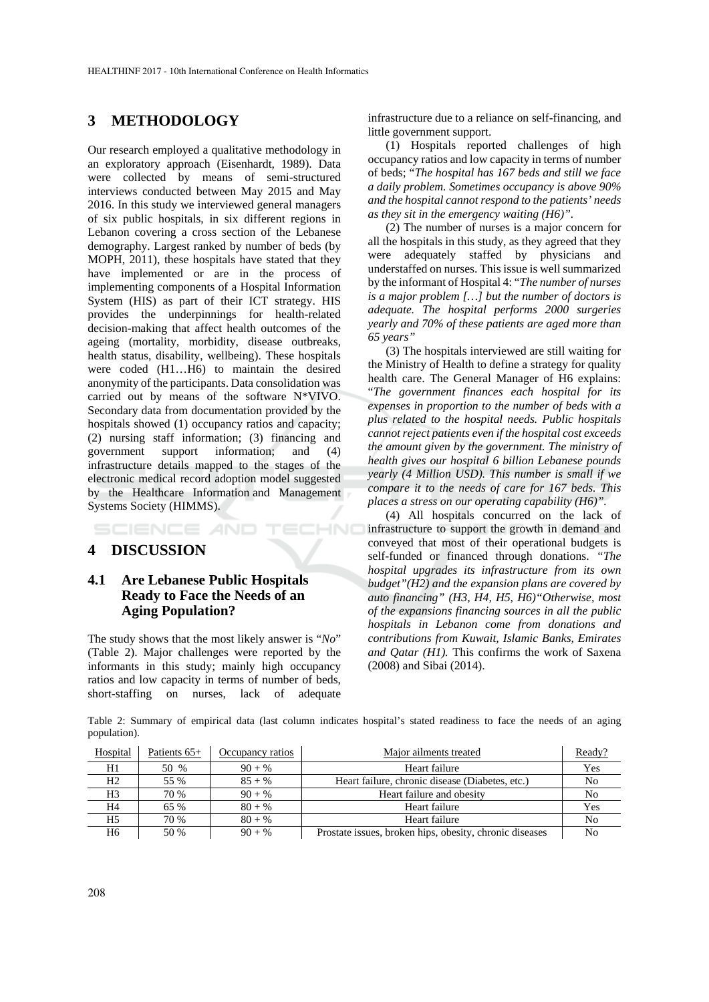# **3 METHODOLOGY**

Our research employed a qualitative methodology in an exploratory approach (Eisenhardt, 1989). Data were collected by means of semi-structured interviews conducted between May 2015 and May 2016. In this study we interviewed general managers of six public hospitals, in six different regions in Lebanon covering a cross section of the Lebanese demography. Largest ranked by number of beds (by MOPH, 2011), these hospitals have stated that they have implemented or are in the process of implementing components of a Hospital Information System (HIS) as part of their ICT strategy. HIS provides the underpinnings for health-related decision-making that affect health outcomes of the ageing (mortality, morbidity, disease outbreaks, health status, disability, wellbeing). These hospitals were coded (H1…H6) to maintain the desired anonymity of the participants. Data consolidation was carried out by means of the software N\*VIVO. Secondary data from documentation provided by the hospitals showed (1) occupancy ratios and capacity; (2) nursing staff information; (3) financing and government support information; and (4) infrastructure details mapped to the stages of the electronic medical record adoption model suggested by the Healthcare Information and Management Systems Society (HIMMS).

TECHNO SCIENCE *A*ND

#### **4 DISCUSSION**

### **4.1 Are Lebanese Public Hospitals Ready to Face the Needs of an Aging Population?**

The study shows that the most likely answer is "*No*" (Table 2). Major challenges were reported by the informants in this study; mainly high occupancy ratios and low capacity in terms of number of beds, short-staffing on nurses, lack of adequate

infrastructure due to a reliance on self-financing, and little government support.

(1) Hospitals reported challenges of high occupancy ratios and low capacity in terms of number of beds; "*The hospital has 167 beds and still we face a daily problem. Sometimes occupancy is above 90% and the hospital cannot respond to the patients' needs as they sit in the emergency waiting (H6)".* 

(2) The number of nurses is a major concern for all the hospitals in this study, as they agreed that they were adequately staffed by physicians and understaffed on nurses. This issue is well summarized by the informant of Hospital 4: "*The number of nurses is a major problem […] but the number of doctors is adequate. The hospital performs 2000 surgeries yearly and 70% of these patients are aged more than 65 years"* 

(3) The hospitals interviewed are still waiting for the Ministry of Health to define a strategy for quality health care. The General Manager of H6 explains: "*The government finances each hospital for its expenses in proportion to the number of beds with a plus related to the hospital needs. Public hospitals cannot reject patients even if the hospital cost exceeds the amount given by the government. The ministry of health gives our hospital 6 billion Lebanese pounds yearly (4 Million USD). This number is small if we compare it to the needs of care for 167 beds. This places a stress on our operating capability (H6)".*

(4) All hospitals concurred on the lack of infrastructure to support the growth in demand and conveyed that most of their operational budgets is self-funded or financed through donations. *"The hospital upgrades its infrastructure from its own budget"(H2) and the expansion plans are covered by auto financing" (H3, H4, H5, H6)"Otherwise, most of the expansions financing sources in all the public hospitals in Lebanon come from donations and contributions from Kuwait, Islamic Banks, Emirates and Qatar (H1).* This confirms the work of Saxena (2008) and Sibai (2014).

Table 2: Summary of empirical data (last column indicates hospital's stated readiness to face the needs of an aging population).

| Hospital       | Patients $65+$ | Major ailments treated<br>Occupancy ratios |                                                         | Ready? |
|----------------|----------------|--------------------------------------------|---------------------------------------------------------|--------|
| H1             | 50 %           | $90 + \%$                                  | Heart failure                                           | Yes    |
| H <sub>2</sub> | 55 %           | $85 + \%$                                  | Heart failure, chronic disease (Diabetes, etc.)         | No     |
| H <sub>3</sub> | 70 %           | $90 + %$                                   | Heart failure and obesity                               | No     |
| H4             | 65 %           | $80 + %$                                   | Heart failure                                           | Yes    |
| H5             | 70 %           | $80 + \%$                                  | Heart failure                                           | No     |
| H6             | 50 %           | $90 + \%$                                  | Prostate issues, broken hips, obesity, chronic diseases | No     |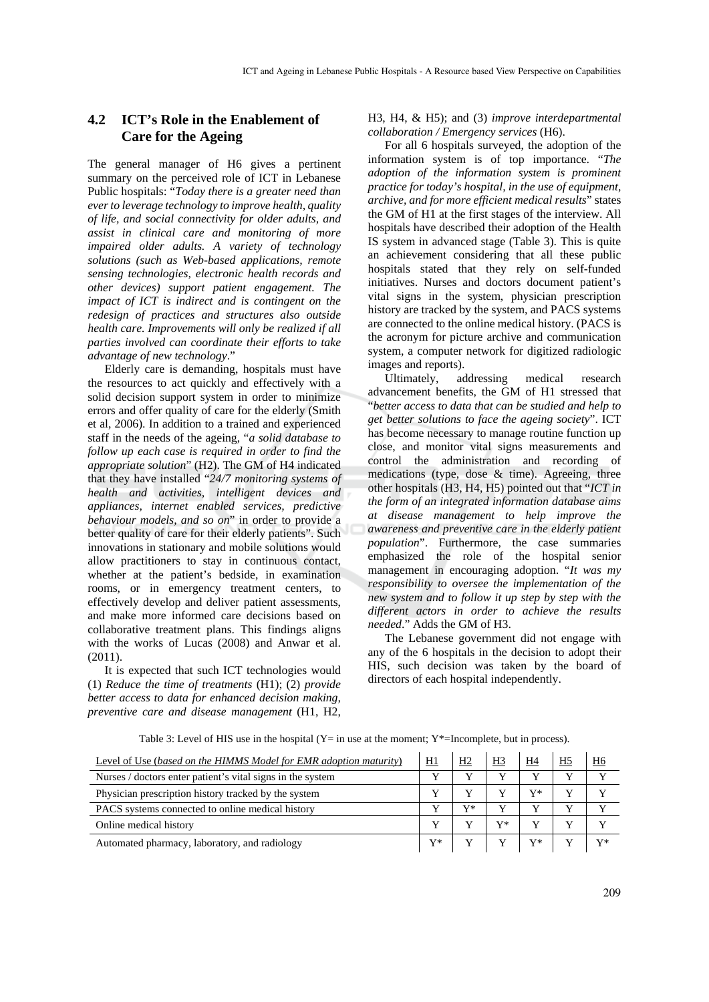### **4.2 ICT's Role in the Enablement of Care for the Ageing**

The general manager of H6 gives a pertinent summary on the perceived role of ICT in Lebanese Public hospitals: "*Today there is a greater need than ever to leverage technology to improve health, quality of life, and social connectivity for older adults, and assist in clinical care and monitoring of more impaired older adults. A variety of technology solutions (such as Web-based applications, remote sensing technologies, electronic health records and other devices) support patient engagement. The impact of ICT is indirect and is contingent on the redesign of practices and structures also outside health care. Improvements will only be realized if all parties involved can coordinate their efforts to take advantage of new technology*."

Elderly care is demanding, hospitals must have the resources to act quickly and effectively with a solid decision support system in order to minimize errors and offer quality of care for the elderly (Smith et al, 2006). In addition to a trained and experienced staff in the needs of the ageing, "*a solid database to follow up each case is required in order to find the appropriate solution*" (H2). The GM of H4 indicated that they have installed "*24/7 monitoring systems of health and activities, intelligent devices and appliances, internet enabled services, predictive behaviour models, and so on*" in order to provide a better quality of care for their elderly patients". Such innovations in stationary and mobile solutions would allow practitioners to stay in continuous contact, whether at the patient's bedside, in examination rooms, or in emergency treatment centers, to effectively develop and deliver patient assessments, and make more informed care decisions based on collaborative treatment plans. This findings aligns with the works of Lucas (2008) and Anwar et al. (2011).

It is expected that such ICT technologies would (1) *Reduce the time of treatments* (H1); (2) *provide better access to data for enhanced decision making, preventive care and disease management* (H1, H2,

H3, H4, & H5); and (3) *improve interdepartmental collaboration / Emergency services* (H6).

For all 6 hospitals surveyed, the adoption of the information system is of top importance. "*The adoption of the information system is prominent practice for today's hospital, in the use of equipment, archive, and for more efficient medical results*" states the GM of H1 at the first stages of the interview. All hospitals have described their adoption of the Health IS system in advanced stage (Table 3). This is quite an achievement considering that all these public hospitals stated that they rely on self-funded initiatives. Nurses and doctors document patient's vital signs in the system, physician prescription history are tracked by the system, and PACS systems are connected to the online medical history. (PACS is the acronym for picture archive and communication system, a computer network for digitized radiologic images and reports).

Ultimately, addressing medical research advancement benefits, the GM of H1 stressed that "*better access to data that can be studied and help to get better solutions to face the ageing society*". ICT has become necessary to manage routine function up close, and monitor vital signs measurements and control the administration and recording of medications (type, dose  $\&$  time). Agreeing, three other hospitals (H3, H4, H5) pointed out that "*ICT in the form of an integrated information database aims at disease management to help improve the awareness and preventive care in the elderly patient population*". Furthermore, the case summaries emphasized the role of the hospital senior management in encouraging adoption. "*It was my responsibility to oversee the implementation of the new system and to follow it up step by step with the different actors in order to achieve the results needed*." Adds the GM of H3.

The Lebanese government did not engage with any of the 6 hospitals in the decision to adopt their HIS, such decision was taken by the board of directors of each hospital independently.

| Level of Use (based on the HIMMS Model for EMR adoption maturity) | <u>H1</u> | Η2 | <u>H3</u> | H4        | <u>H6</u> |
|-------------------------------------------------------------------|-----------|----|-----------|-----------|-----------|
| Nurses / doctors enter patient's vital signs in the system        |           |    |           |           |           |
| Physician prescription history tracked by the system              |           |    |           | $V^*$     |           |
| PACS systems connected to online medical history                  |           | V* |           |           |           |
| Online medical history                                            |           |    | V*        |           |           |
| Automated pharmacy, laboratory, and radiology                     | $Y^*$     | Y  |           | $\rm Y^*$ | -V*       |

Table 3: Level of HIS use in the hospital  $(Y=$  in use at the moment;  $Y^*$ =Incomplete, but in process).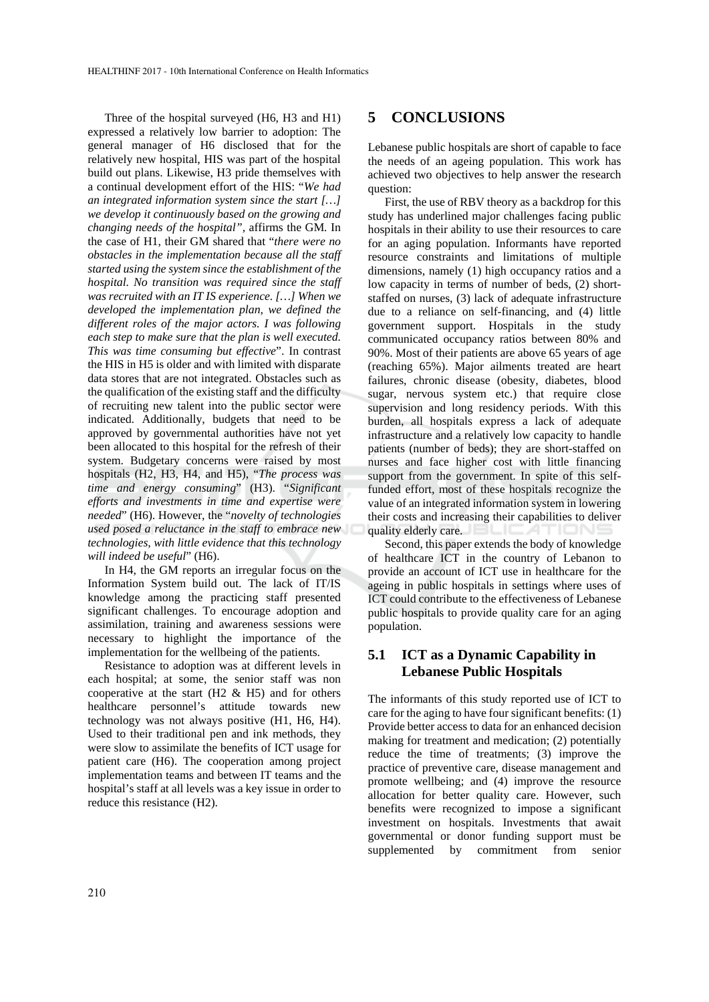Three of the hospital surveyed (H6, H3 and H1) expressed a relatively low barrier to adoption: The general manager of H6 disclosed that for the relatively new hospital, HIS was part of the hospital build out plans. Likewise, H3 pride themselves with a continual development effort of the HIS: "*We had an integrated information system since the start […] we develop it continuously based on the growing and changing needs of the hospital",* affirms the GM*.* In the case of H1, their GM shared that "*there were no obstacles in the implementation because all the staff started using the system since the establishment of the hospital. No transition was required since the staff was recruited with an IT IS experience. […] When we developed the implementation plan, we defined the different roles of the major actors. I was following each step to make sure that the plan is well executed. This was time consuming but effective*". In contrast the HIS in H5 is older and with limited with disparate data stores that are not integrated. Obstacles such as the qualification of the existing staff and the difficulty of recruiting new talent into the public sector were indicated. Additionally, budgets that need to be approved by governmental authorities have not yet been allocated to this hospital for the refresh of their system. Budgetary concerns were raised by most hospitals (H2, H3, H4, and H5), "*The process was time and energy consuming*" (H3). "*Significant efforts and investments in time and expertise were needed*" (H6). However, the "*novelty of technologies used posed a reluctance in the staff to embrace new technologies, with little evidence that this technology will indeed be useful*" (H6).

In H4, the GM reports an irregular focus on the Information System build out. The lack of IT/IS knowledge among the practicing staff presented significant challenges. To encourage adoption and assimilation, training and awareness sessions were necessary to highlight the importance of the implementation for the wellbeing of the patients.

Resistance to adoption was at different levels in each hospital; at some, the senior staff was non cooperative at the start  $(H2 \& H5)$  and for others healthcare personnel's attitude towards new technology was not always positive (H1, H6, H4). Used to their traditional pen and ink methods, they were slow to assimilate the benefits of ICT usage for patient care (H6). The cooperation among project implementation teams and between IT teams and the hospital's staff at all levels was a key issue in order to reduce this resistance (H2).

### **5 CONCLUSIONS**

Lebanese public hospitals are short of capable to face the needs of an ageing population. This work has achieved two objectives to help answer the research question:

First, the use of RBV theory as a backdrop for this study has underlined major challenges facing public hospitals in their ability to use their resources to care for an aging population. Informants have reported resource constraints and limitations of multiple dimensions, namely (1) high occupancy ratios and a low capacity in terms of number of beds, (2) shortstaffed on nurses, (3) lack of adequate infrastructure due to a reliance on self-financing, and (4) little government support. Hospitals in the study communicated occupancy ratios between 80% and 90%. Most of their patients are above 65 years of age (reaching 65%). Major ailments treated are heart failures, chronic disease (obesity, diabetes, blood sugar, nervous system etc.) that require close supervision and long residency periods. With this burden, all hospitals express a lack of adequate infrastructure and a relatively low capacity to handle patients (number of beds); they are short-staffed on nurses and face higher cost with little financing support from the government. In spite of this selffunded effort, most of these hospitals recognize the value of an integrated information system in lowering their costs and increasing their capabilities to deliver quality elderly care.

Second, this paper extends the body of knowledge of healthcare ICT in the country of Lebanon to provide an account of ICT use in healthcare for the ageing in public hospitals in settings where uses of ICT could contribute to the effectiveness of Lebanese public hospitals to provide quality care for an aging population.

### **5.1 ICT as a Dynamic Capability in Lebanese Public Hospitals**

The informants of this study reported use of ICT to care for the aging to have four significant benefits: (1) Provide better access to data for an enhanced decision making for treatment and medication; (2) potentially reduce the time of treatments; (3) improve the practice of preventive care, disease management and promote wellbeing; and (4) improve the resource allocation for better quality care. However, such benefits were recognized to impose a significant investment on hospitals. Investments that await governmental or donor funding support must be supplemented by commitment from senior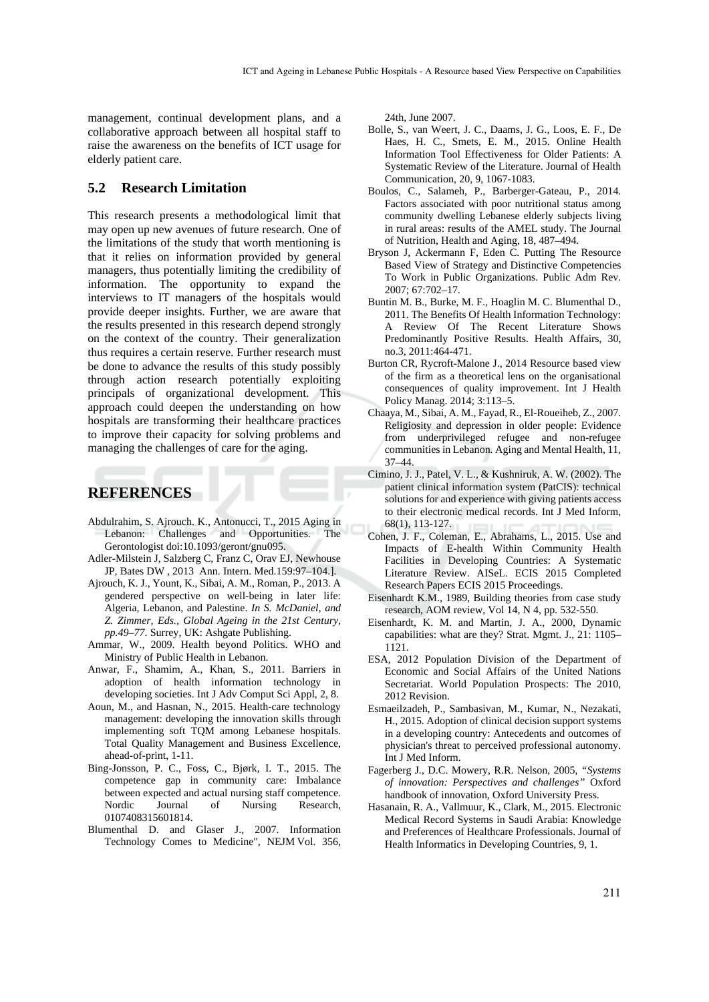management, continual development plans, and a collaborative approach between all hospital staff to raise the awareness on the benefits of ICT usage for elderly patient care.

#### **5.2 Research Limitation**

This research presents a methodological limit that may open up new avenues of future research. One of the limitations of the study that worth mentioning is that it relies on information provided by general managers, thus potentially limiting the credibility of information. The opportunity to expand the interviews to IT managers of the hospitals would provide deeper insights. Further, we are aware that the results presented in this research depend strongly on the context of the country. Their generalization thus requires a certain reserve. Further research must be done to advance the results of this study possibly through action research potentially exploiting principals of organizational development. This approach could deepen the understanding on how hospitals are transforming their healthcare practices to improve their capacity for solving problems and managing the challenges of care for the aging.

#### **REFERENCES**

- Abdulrahim, S. Ajrouch. K., Antonucci, T., 2015 Aging in Lebanon: Challenges and Opportunities. The Gerontologist doi:10.1093/geront/gnu095.
- Adler-Milstein J, Salzberg C, Franz C, Orav EJ, Newhouse JP, Bates DW , 2013 Ann. Intern. Med.159:97–104.].
- Ajrouch, K. J., Yount, K., Sibai, A. M., Roman, P., 2013. A gendered perspective on well-being in later life: Algeria, Lebanon, and Palestine. *In S. McDaniel, and Z. Zimmer, Eds., Global Ageing in the 21st Century, pp.49–77*. Surrey, UK: Ashgate Publishing.
- Ammar, W., 2009. Health beyond Politics. WHO and Ministry of Public Health in Lebanon.
- Anwar, F., Shamim, A., Khan, S., 2011. Barriers in adoption of health information technology in developing societies. Int J Adv Comput Sci Appl, 2, 8.
- Aoun, M., and Hasnan, N., 2015. Health-care technology management: developing the innovation skills through implementing soft TQM among Lebanese hospitals. Total Quality Management and Business Excellence, ahead-of-print, 1-11.
- Bing-Jonsson, P. C., Foss, C., Bjørk, I. T., 2015. The competence gap in community care: Imbalance between expected and actual nursing staff competence. Nordic Journal of Nursing Research, 0107408315601814.
- Blumenthal D. and Glaser J., 2007. Information Technology Comes to Medicine", NEJM Vol. 356,

24th, June 2007.

- Bolle, S., van Weert, J. C., Daams, J. G., Loos, E. F., De Haes, H. C., Smets, E. M., 2015. Online Health Information Tool Effectiveness for Older Patients: A Systematic Review of the Literature. Journal of Health Communication, 20, 9, 1067-1083.
- Boulos, C., Salameh, P., Barberger-Gateau, P., 2014. Factors associated with poor nutritional status among community dwelling Lebanese elderly subjects living in rural areas: results of the AMEL study. The Journal of Nutrition, Health and Aging, 18, 487–494.
- Bryson J, Ackermann F, Eden C. Putting The Resource Based View of Strategy and Distinctive Competencies To Work in Public Organizations. Public Adm Rev. 2007; 67:702–17.
- Buntin M. B., Burke, M. F., Hoaglin M. C. Blumenthal D., 2011. The Benefits Of Health Information Technology: A Review Of The Recent Literature Shows Predominantly Positive Results. Health Affairs, 30, no.3, 2011:464-471.
- Burton CR, Rycroft-Malone J., 2014 Resource based view of the firm as a theoretical lens on the organisational consequences of quality improvement. Int J Health Policy Manag. 2014; 3:113–5.
- Chaaya, M., Sibai, A. M., Fayad, R., El-Roueiheb, Z., 2007. Religiosity and depression in older people: Evidence from underprivileged refugee and non-refugee communities in Lebanon. Aging and Mental Health, 11, 37–44.
- Cimino, J. J., Patel, V. L., & Kushniruk, A. W. (2002). The patient clinical information system (PatCIS): technical solutions for and experience with giving patients access to their electronic medical records. Int J Med Inform, 68(1), 113-127.
- Cohen, J. F., Coleman, E., Abrahams, L., 2015. Use and Impacts of E-health Within Community Health Facilities in Developing Countries: A Systematic Literature Review. AISeL. ECIS 2015 Completed Research Papers ECIS 2015 Proceedings.
- Eisenhardt K.M., 1989, Building theories from case study research, AOM review, Vol 14, N 4, pp. 532-550.
- Eisenhardt, K. M. and Martin, J. A., 2000, Dynamic capabilities: what are they? Strat. Mgmt. J., 21: 1105– 1121.
- ESA, 2012 Population Division of the Department of Economic and Social Affairs of the United Nations Secretariat. World Population Prospects: The 2010, 2012 Revision.
- Esmaeilzadeh, P., Sambasivan, M., Kumar, N., Nezakati, H., 2015. Adoption of clinical decision support systems in a developing country: Antecedents and outcomes of physician's threat to perceived professional autonomy. Int J Med Inform.
- Fagerberg J., D.C. Mowery, R.R. Nelson, 2005, *"Systems of innovation: Perspectives and challenges"* Oxford handbook of innovation, Oxford University Press.
- Hasanain, R. A., Vallmuur, K., Clark, M., 2015. Electronic Medical Record Systems in Saudi Arabia: Knowledge and Preferences of Healthcare Professionals. Journal of Health Informatics in Developing Countries, 9, 1.